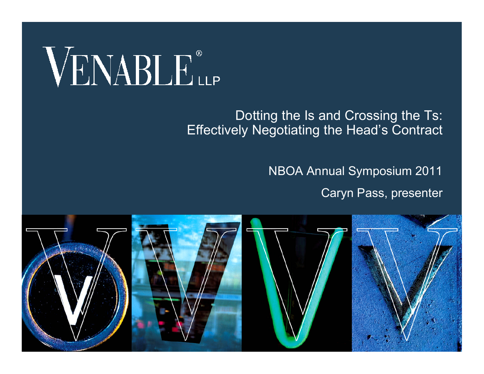# VENABLE®

#### Dotting the Is and Crossing the Ts: Effectively Negotiating the Head's Contract

NBOA Annual Symposium 2011

Caryn Pass, presenter

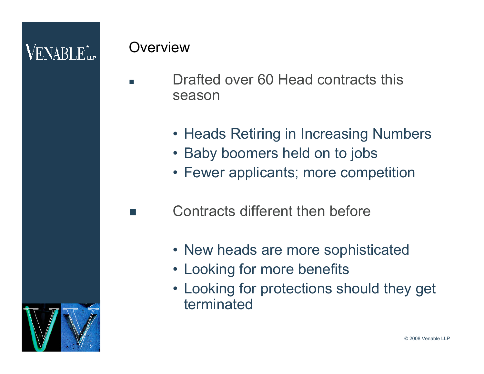### $\mathsf{V}\textnormal{ENARI}\,\mathbb{F}^*_{\textnormal{\tiny{Hilb}}}$

2

#### **Overview**

- Drafted over 60 Head contracts this season
	- Heads Retiring in Increasing Numbers
	- Baby boomers held on to jobs
	- Fewer applicants; more competition
	- Contracts different then before
		- New heads are more sophisticated
		- Looking for more benefits
		- Looking for protections should they get terminated

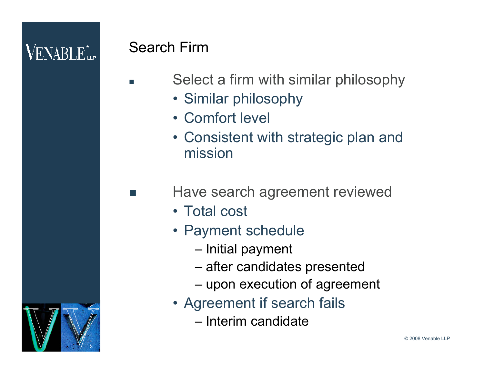### $\mathsf{VENABI}\, \mathbf{E}^*$

3

#### Search Firm

- Select a firm with similar philosophy
	- Similar philosophy
	- Comfort level
	- Consistent with strategic plan and mission
	- Have search agreement reviewed
		- Total cost
		- Payment schedule
			- Initial payment
			- after candidates presented
			- upon execution of agreement
		- Agreement if search fails
			- Interim candidate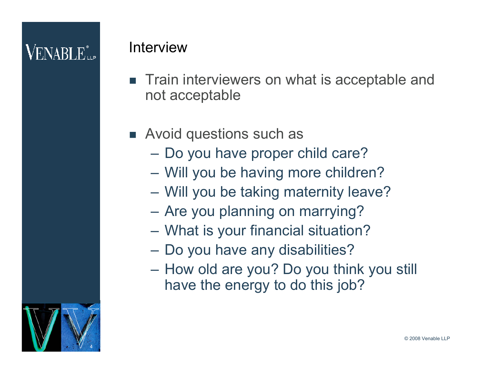### $\mathsf{V}\textnormal{ENABI}\,\mathbf{F}^*_{\textnormal{\tiny{Hilb}}}$

#### Interview

- Train interviewers on what is acceptable and not acceptable
- **EXECUTE:** Avoid questions such as
	- Do you have proper child care?
	- Will you be having more children?
	- Will you be taking maternity leave?
	- Are you planning on marrying?
	- What is your financial situation?
	- Do you have any disabilities?
	- How old are you? Do you think you still have the energy to do this job?

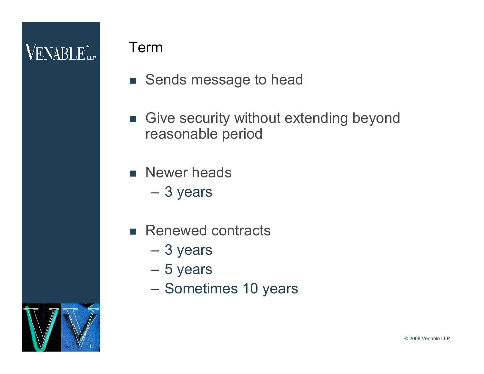### **VENABLE** LLP

#### Term

- Sends message to head
- **Give security without extending beyond** reasonable period
- **Newer heads** 
	- 3 years
- Renewed contracts
	- 3 years
	- 5 years
	- Sometimes 10 years

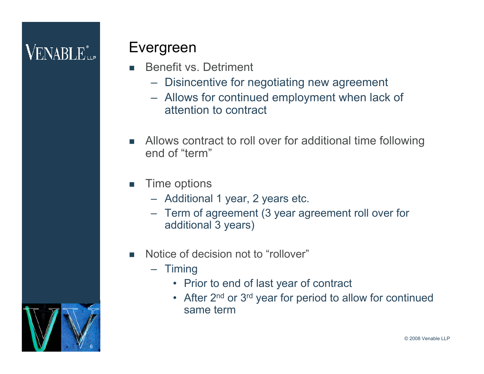### $\mathsf{VENABI}\, \mathbf{E}^*_{\textsf{\tiny{H}}\textsf{\tiny{P}}}$

#### Evergreen

- Benefit vs. Detriment
	- Disincentive for negotiating new agreement
	- Allows for continued employment when lack of attention to contract
- Allows contract to roll over for additional time following end of "term"
- **Time options** 
	- Additional 1 year, 2 years etc.
	- Term of agreement (3 year agreement roll over for additional 3 years)
- Notice of decision not to "rollover"
	- Timing
		- Prior to end of last year of contract
		- After 2<sup>nd</sup> or 3<sup>rd</sup> year for period to allow for continued same term

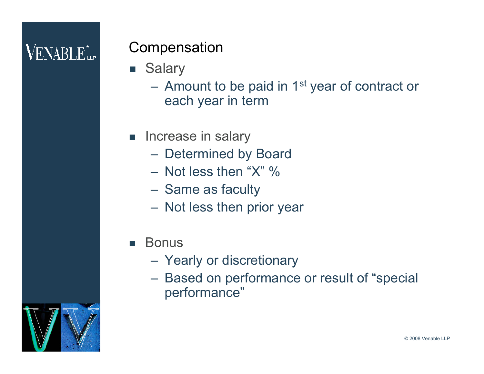### $\mathsf{VENABI}\, \mathbf{E}^*_{\textsf{\tiny{H}}\textsf{\tiny{P}}}$

#### **Compensation**

- Salary
	- $-$  Amount to be paid in 1<sup>st</sup> year of contract or each year in term
- **n** Increase in salary
	- Determined by Board
	- $-$  Not less then "X" %
	- Same as faculty
	- Not less then prior year
- Bonus
	- Yearly or discretionary
	- Based on performance or result of "special performance"

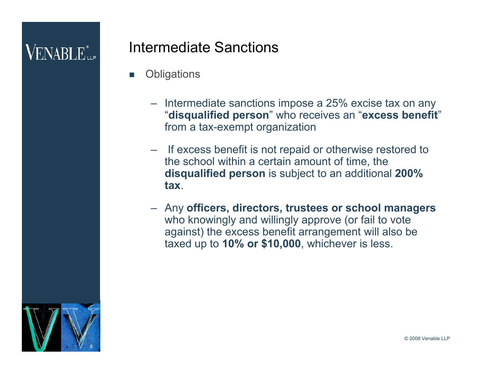### $\mathsf{V}\textnormal{ENABI}\,\mathbb{E}^*_{\textnormal{\tiny{Hilb}}}$

#### Intermediate Sanctions

- **Obligations** 
	- Intermediate sanctions impose a 25% excise tax on any "**disqualified person**" who receives an "**excess benefit**" from a tax-exempt organization
	- If excess benefit is not repaid or otherwise restored to the school within a certain amount of time, the **disqualified person** is subject to an additional **200% tax**.
	- Any **officers, directors, trustees or school managers** who knowingly and willingly approve (or fail to vote against) the excess benefit arrangement will also be taxed up to **10% or \$10,000**, whichever is less.

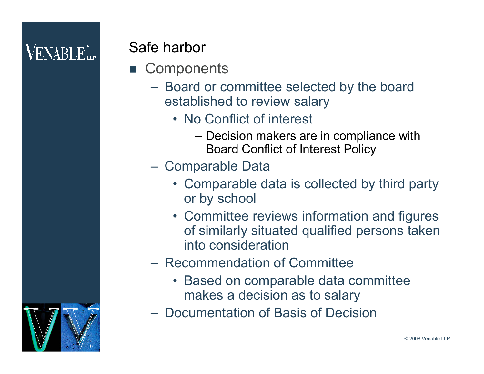### $\rm VENABLE^*_{\rm up}$

#### Safe harbor

- Components
	- Board or committee selected by the board established to review salary
		- No Conflict of interest
			- Decision makers are in compliance with Board Conflict of Interest Policy
	- Comparable Data
		- Comparable data is collected by third party or by school
		- Committee reviews information and figures of similarly situated qualified persons taken into consideration
	- Recommendation of Committee
		- Based on comparable data committee makes a decision as to salary
	- Documentation of Basis of Decision

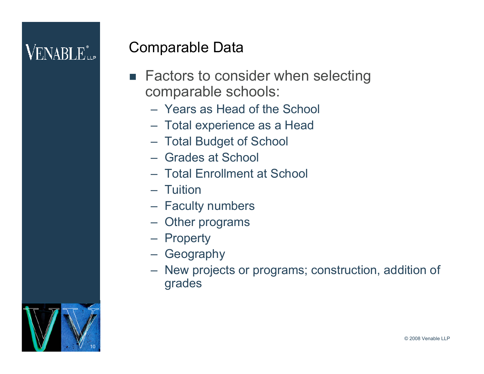### $\mathsf{VENABI}\, \mathbf{E}^*$

#### Comparable Data

- Factors to consider when selecting comparable schools:
	- Years as Head of the School
	- Total experience as a Head
	- Total Budget of School
	- Grades at School
	- Total Enrollment at School
	- Tuition
	- Faculty numbers
	- Other programs
	- Property
	- Geography
	- New projects or programs; construction, addition of grades

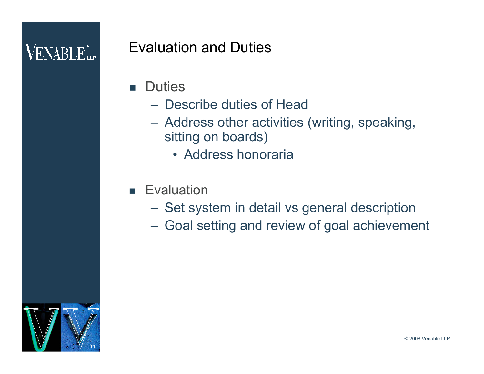### $\mathbf{V}\mathrm{ENABI}\,\mathrm{F}^*_{\mathrm{m}n}$

#### Evaluation and Duties

- **Duties** 
	- Describe duties of Head
	- Address other activities (writing, speaking, sitting on boards)
		- Address honoraria
- **Evaluation** 
	- Set system in detail vs general description
	- Goal setting and review of goal achievement

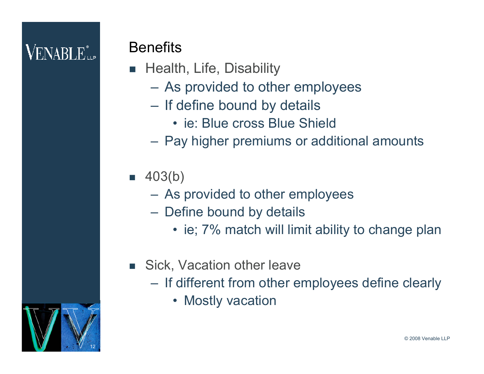### $\rm VENABLE^*_{\rm up}$

#### **Benefits**

- **Health, Life, Disability** 
	- As provided to other employees
	- If define bound by details
		- ie: Blue cross Blue Shield
	- Pay higher premiums or additional amounts

#### $\blacksquare$  403(b)

- As provided to other employees
- Define bound by details
	- ie; 7% match will limit ability to change plan
- **Sick, Vacation other leave** 
	- If different from other employees define clearly
		- Mostly vacation

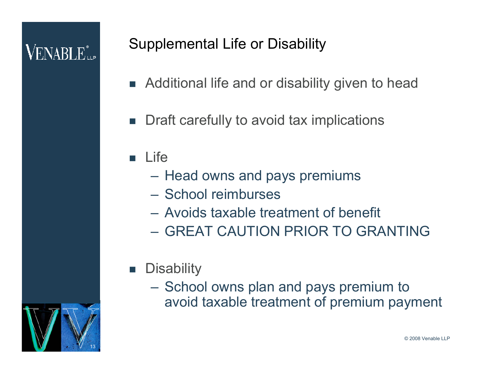### $\mathsf{VENABI}\, \mathbf{E}^*$

#### Supplemental Life or Disability

- Additional life and or disability given to head
- Draft carefully to avoid tax implications

#### $\blacksquare$  Life

- Head owns and pays premiums
- School reimburses
- Avoids taxable treatment of benefit
- GREAT CAUTION PRIOR TO GRANTING
- **Disability** 
	- School owns plan and pays premium to avoid taxable treatment of premium payment

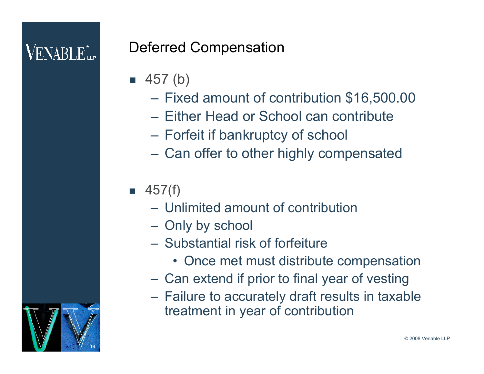### $\mathsf{V}\textnormal{ENABI}\,\mathbf{F}_{\textnormal{\tiny{HIP}}}^*$

14

#### Deferred Compensation

- $\blacksquare$  457 (b)
	- Fixed amount of contribution \$16,500.00
	- Either Head or School can contribute
	- Forfeit if bankruptcy of school
	- Can offer to other highly compensated

#### $\blacksquare$  457(f)

- Unlimited amount of contribution
- Only by school
- Substantial risk of forfeiture
	- Once met must distribute compensation
- Can extend if prior to final year of vesting
- Failure to accurately draft results in taxable treatment in year of contribution

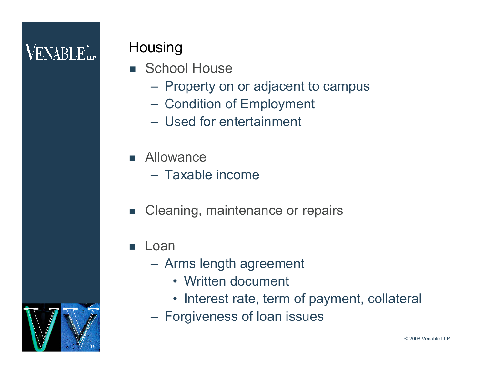### $\mathbf{V}\mathrm{ENABI}\,\mathrm{F}^*_{\mathrm{m}n}$

#### Housing

- **School House** 
	- Property on or adjacent to campus
	- Condition of Employment
	- Used for entertainment
- **Allowance** 
	- Taxable income
- Cleaning, maintenance or repairs
- **Loan** 
	- Arms length agreement
		- Written document
		- Interest rate, term of payment, collateral
	- Forgiveness of loan issues

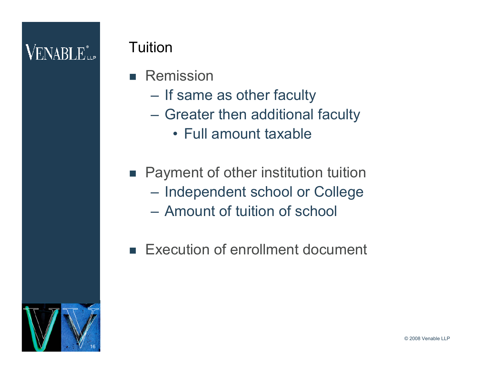### **VENABLE** Le

#### **Tuition**

- **Remission** 
	- If same as other faculty
	- Greater then additional faculty
		- Full amount taxable
- Payment of other institution tuition – Independent school or College
	- Amount of tuition of school
- Execution of enrollment document

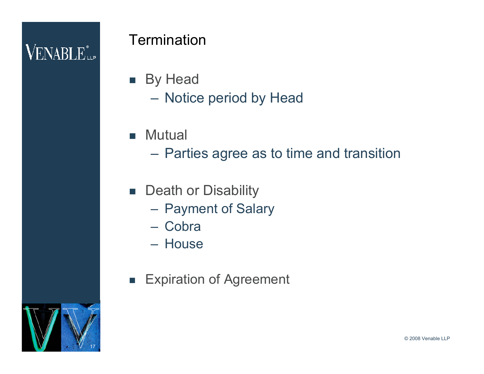### **VENABLE** LLP

#### **Termination**

- **By Head** – Notice period by Head
- **Mutual** 
	- Parties agree as to time and transition
- **Death or Disability** 
	- Payment of Salary
	- Cobra
	- House
- **Expiration of Agreement**

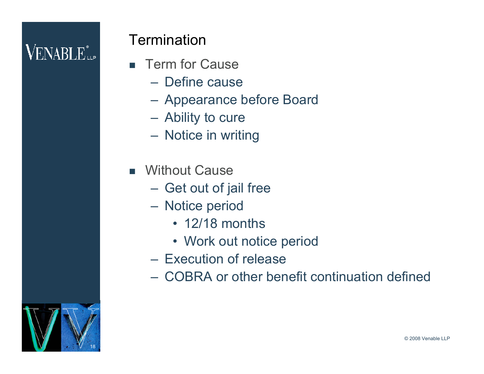### $\rm VENABI$   $\rm E_{\rm up}^*$

#### **Termination**

- **F** Term for Cause
	- Define cause
	- Appearance before Board
	- Ability to cure
	- Notice in writing
- **Nithout Cause** 
	- Get out of jail free
	- Notice period
		- 12/18 months
		- Work out notice period
	- Execution of release
	- COBRA or other benefit continuation defined

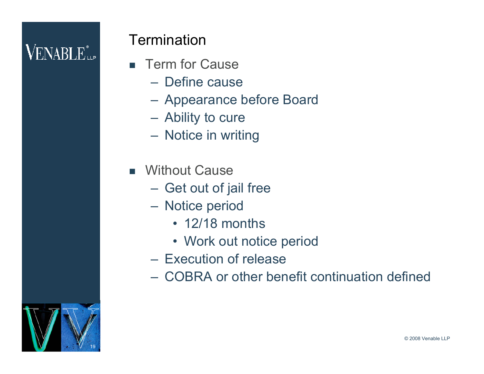### $\rm VENABI$   $\rm E_{\rm up}^*$

#### **Termination**

- **F** Term for Cause
	- Define cause
	- Appearance before Board
	- Ability to cure
	- Notice in writing
- **Nithout Cause** 
	- Get out of jail free
	- Notice period
		- 12/18 months
		- Work out notice period
	- Execution of release
	- COBRA or other benefit continuation defined

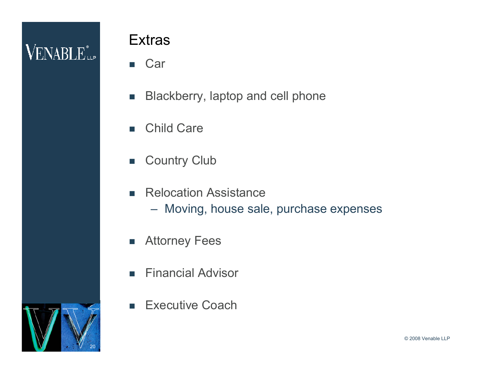### **VENABLE** *i*.

#### **Extras**

- Car
- **Blackberry, laptop and cell phone**
- Child Care
- **Country Club**
- **Relocation Assistance** 
	- Moving, house sale, purchase expenses
- **Attorney Fees**
- **Financial Advisor**
- **Executive Coach**

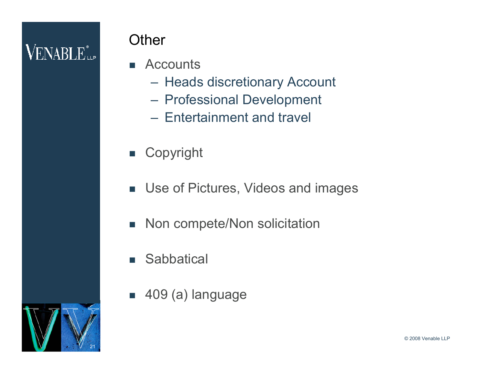### **VENABLE** *i*.

#### **Other**

- **E** Accounts
	- Heads discretionary Account
	- Professional Development
	- Entertainment and travel
- **E** Copyright
- **Use of Pictures, Videos and images**
- Non compete/Non solicitation
- **Sabbatical**
- 409 (a) language



© 2008 Venable LLP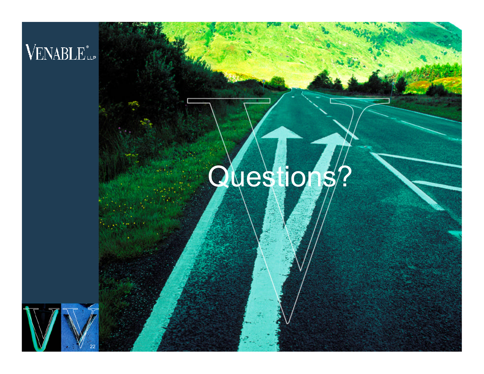### VENABLE<sup>®</sup>

## Questions?

© 2008 Venable LLP